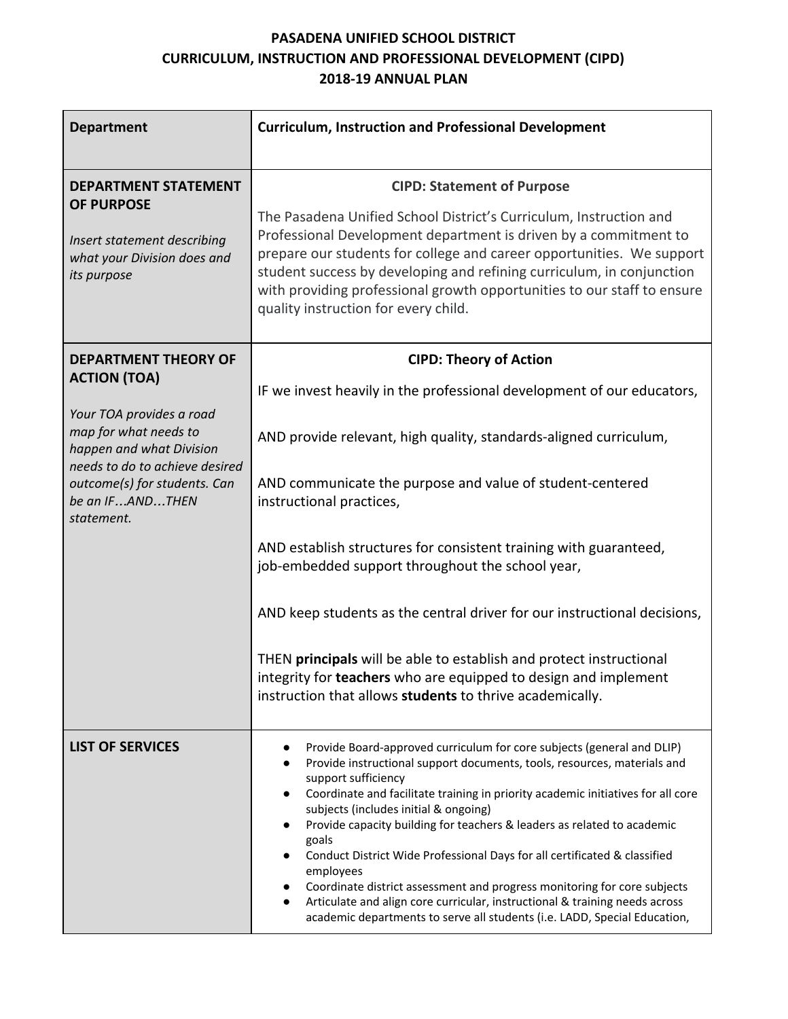## **PASADENA UNIFIED SCHOOL DISTRICT CURRICULUM, INSTRUCTION AND PROFESSIONAL DEVELOPMENT (CIPD) 2018-19 ANNUAL PLAN**

| <b>Department</b>                                                                                                                                                                                                                      | <b>Curriculum, Instruction and Professional Development</b>                                                                                                                                                                                                                                                                                                                                                                                                                                                                                                                                                                                                                                                                               |  |  |
|----------------------------------------------------------------------------------------------------------------------------------------------------------------------------------------------------------------------------------------|-------------------------------------------------------------------------------------------------------------------------------------------------------------------------------------------------------------------------------------------------------------------------------------------------------------------------------------------------------------------------------------------------------------------------------------------------------------------------------------------------------------------------------------------------------------------------------------------------------------------------------------------------------------------------------------------------------------------------------------------|--|--|
| <b>DEPARTMENT STATEMENT</b><br><b>OF PURPOSE</b><br>Insert statement describing<br>what your Division does and<br>its purpose                                                                                                          | <b>CIPD: Statement of Purpose</b><br>The Pasadena Unified School District's Curriculum, Instruction and<br>Professional Development department is driven by a commitment to<br>prepare our students for college and career opportunities. We support<br>student success by developing and refining curriculum, in conjunction<br>with providing professional growth opportunities to our staff to ensure<br>quality instruction for every child.                                                                                                                                                                                                                                                                                          |  |  |
| <b>DEPARTMENT THEORY OF</b><br><b>ACTION (TOA)</b><br>Your TOA provides a road<br>map for what needs to<br>happen and what Division<br>needs to do to achieve desired<br>outcome(s) for students. Can<br>be an IFANDTHEN<br>statement. | <b>CIPD: Theory of Action</b><br>IF we invest heavily in the professional development of our educators,<br>AND provide relevant, high quality, standards-aligned curriculum,<br>AND communicate the purpose and value of student-centered<br>instructional practices,<br>AND establish structures for consistent training with guaranteed,<br>job-embedded support throughout the school year,<br>AND keep students as the central driver for our instructional decisions,<br>THEN principals will be able to establish and protect instructional<br>integrity for teachers who are equipped to design and implement<br>instruction that allows students to thrive academically.                                                          |  |  |
| <b>LIST OF SERVICES</b>                                                                                                                                                                                                                | Provide Board-approved curriculum for core subjects (general and DLIP)<br>Provide instructional support documents, tools, resources, materials and<br>$\bullet$<br>support sufficiency<br>Coordinate and facilitate training in priority academic initiatives for all core<br>subjects (includes initial & ongoing)<br>Provide capacity building for teachers & leaders as related to academic<br>goals<br>Conduct District Wide Professional Days for all certificated & classified<br>employees<br>Coordinate district assessment and progress monitoring for core subjects<br>Articulate and align core curricular, instructional & training needs across<br>academic departments to serve all students (i.e. LADD, Special Education, |  |  |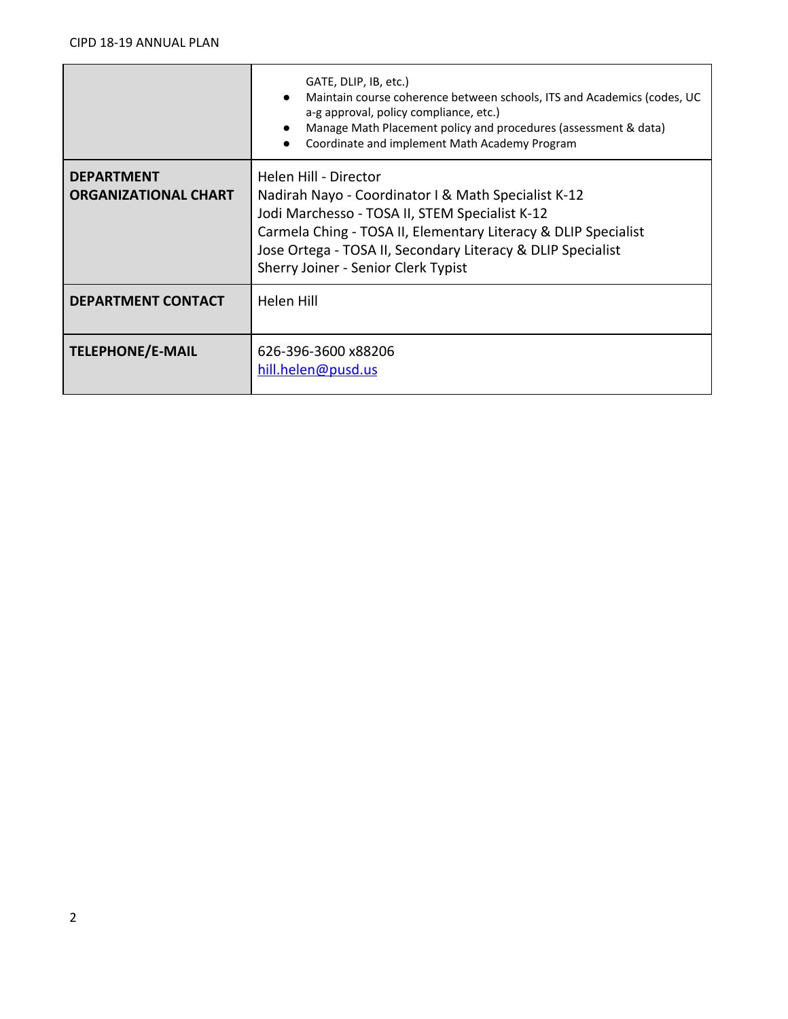|                             | GATE, DLIP, IB, etc.)<br>Maintain course coherence between schools, ITS and Academics (codes, UC<br>a-g approval, policy compliance, etc.)<br>Manage Math Placement policy and procedures (assessment & data)<br>Coordinate and implement Math Academy Program |  |  |
|-----------------------------|----------------------------------------------------------------------------------------------------------------------------------------------------------------------------------------------------------------------------------------------------------------|--|--|
| <b>DEPARTMENT</b>           | Helen Hill - Director                                                                                                                                                                                                                                          |  |  |
| <b>ORGANIZATIONAL CHART</b> | Nadirah Nayo - Coordinator I & Math Specialist K-12                                                                                                                                                                                                            |  |  |
|                             | Jodi Marchesso - TOSA II, STEM Specialist K-12                                                                                                                                                                                                                 |  |  |
|                             | Carmela Ching - TOSA II, Elementary Literacy & DLIP Specialist                                                                                                                                                                                                 |  |  |
|                             | Jose Ortega - TOSA II, Secondary Literacy & DLIP Specialist                                                                                                                                                                                                    |  |  |
|                             | Sherry Joiner - Senior Clerk Typist                                                                                                                                                                                                                            |  |  |
| <b>DEPARTMENT CONTACT</b>   | Helen Hill                                                                                                                                                                                                                                                     |  |  |
|                             |                                                                                                                                                                                                                                                                |  |  |
| <b>TELEPHONE/E-MAIL</b>     | 626-396-3600 x88206                                                                                                                                                                                                                                            |  |  |
|                             | hill.helen@pusd.us                                                                                                                                                                                                                                             |  |  |
|                             |                                                                                                                                                                                                                                                                |  |  |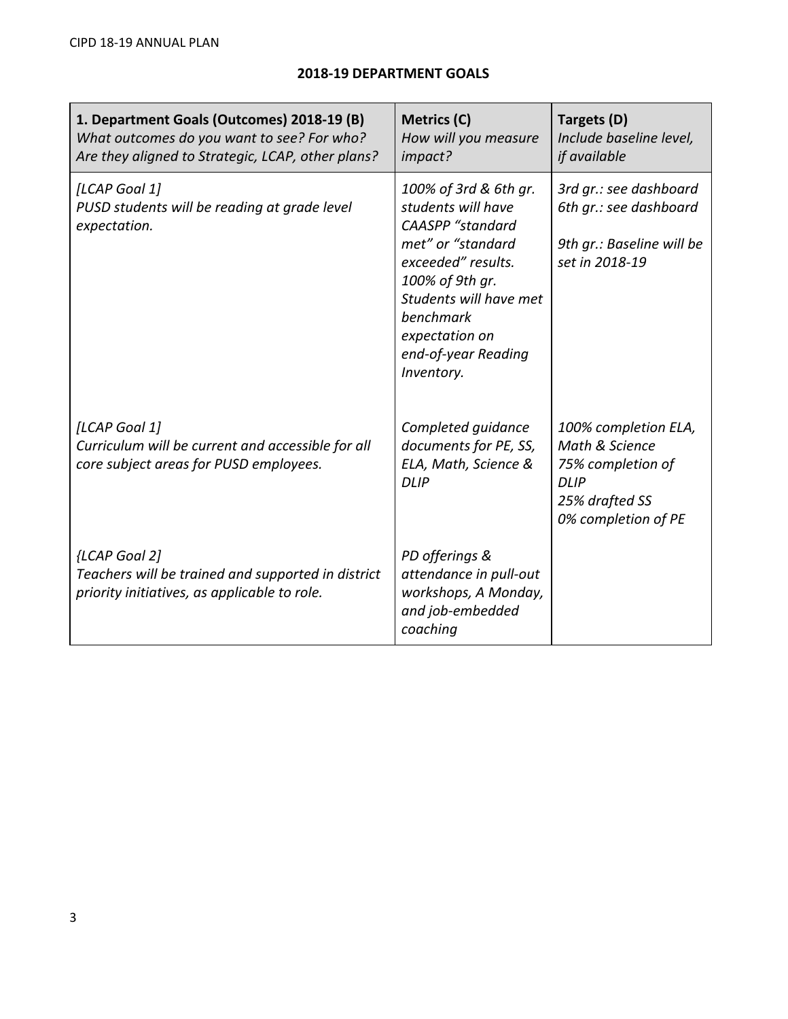| 1. Department Goals (Outcomes) 2018-19 (B)<br>What outcomes do you want to see? For who?<br>Are they aligned to Strategic, LCAP, other plans? | Metrics (C)<br>How will you measure<br>impact?                                                                                                                                                                                     | Targets (D)<br>Include baseline level,<br>if available                                                              |
|-----------------------------------------------------------------------------------------------------------------------------------------------|------------------------------------------------------------------------------------------------------------------------------------------------------------------------------------------------------------------------------------|---------------------------------------------------------------------------------------------------------------------|
| [LCAP Goal 1]<br>PUSD students will be reading at grade level<br>expectation.                                                                 | 100% of 3rd & 6th gr.<br>students will have<br><b>CAASPP</b> "standard<br>met" or "standard<br>exceeded" results.<br>100% of 9th gr.<br>Students will have met<br>benchmark<br>expectation on<br>end-of-year Reading<br>Inventory. | 3rd gr.: see dashboard<br>6th gr.: see dashboard<br>9th gr.: Baseline will be<br>set in 2018-19                     |
| [LCAP Goal 1]<br>Curriculum will be current and accessible for all<br>core subject areas for PUSD employees.                                  | Completed guidance<br>documents for PE, SS,<br>ELA, Math, Science &<br><b>DLIP</b>                                                                                                                                                 | 100% completion ELA,<br>Math & Science<br>75% completion of<br><b>DLIP</b><br>25% drafted SS<br>0% completion of PE |
| {LCAP Goal 2]<br>Teachers will be trained and supported in district<br>priority initiatives, as applicable to role.                           | PD offerings &<br>attendance in pull-out<br>workshops, A Monday,<br>and job-embedded<br>coaching                                                                                                                                   |                                                                                                                     |

## **2018-19 DEPARTMENT GOALS**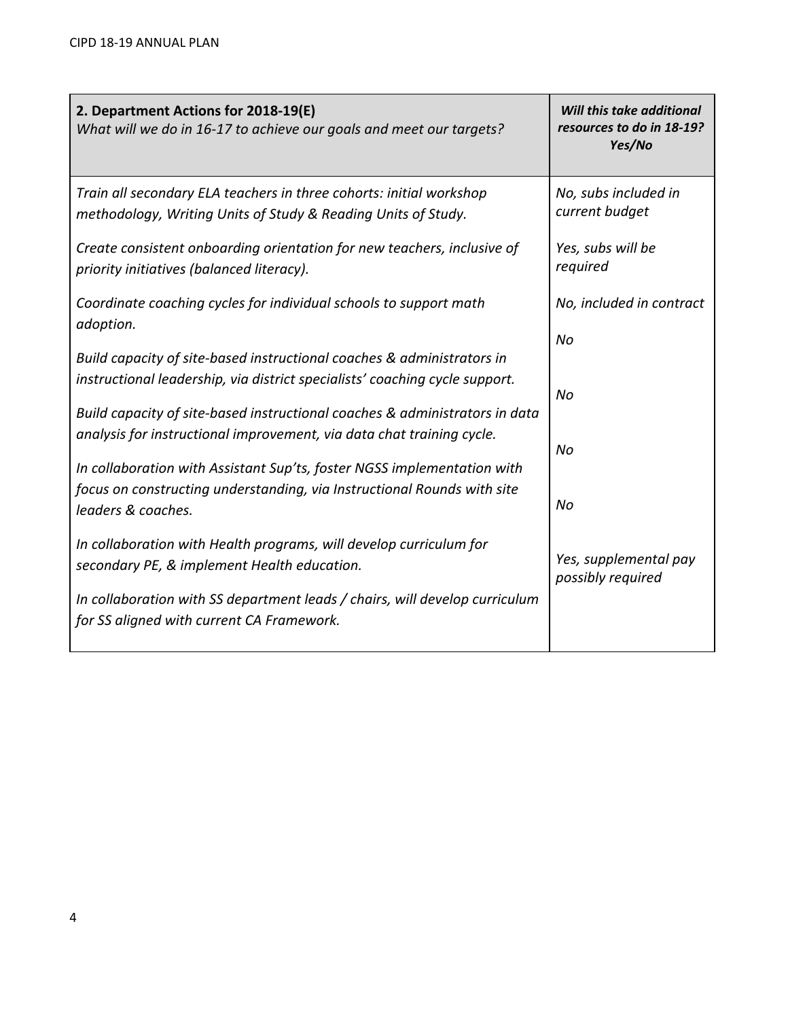| 2. Department Actions for 2018-19(E)<br>What will we do in 16-17 to achieve our goals and meet our targets?                                           | Will this take additional<br>resources to do in 18-19?<br>Yes/No |
|-------------------------------------------------------------------------------------------------------------------------------------------------------|------------------------------------------------------------------|
| Train all secondary ELA teachers in three cohorts: initial workshop<br>methodology, Writing Units of Study & Reading Units of Study.                  | No, subs included in<br>current budget                           |
| Create consistent onboarding orientation for new teachers, inclusive of<br>priority initiatives (balanced literacy).                                  | Yes, subs will be<br>required                                    |
| Coordinate coaching cycles for individual schools to support math<br>adoption.                                                                        | No, included in contract                                         |
| Build capacity of site-based instructional coaches & administrators in<br>instructional leadership, via district specialists' coaching cycle support. | No                                                               |
| Build capacity of site-based instructional coaches & administrators in data                                                                           | No                                                               |
| analysis for instructional improvement, via data chat training cycle.<br>In collaboration with Assistant Sup'ts, foster NGSS implementation with      | No                                                               |
| focus on constructing understanding, via Instructional Rounds with site<br>leaders & coaches.                                                         | No                                                               |
| In collaboration with Health programs, will develop curriculum for<br>secondary PE, & implement Health education.                                     | Yes, supplemental pay<br>possibly required                       |
| In collaboration with SS department leads / chairs, will develop curriculum<br>for SS aligned with current CA Framework.                              |                                                                  |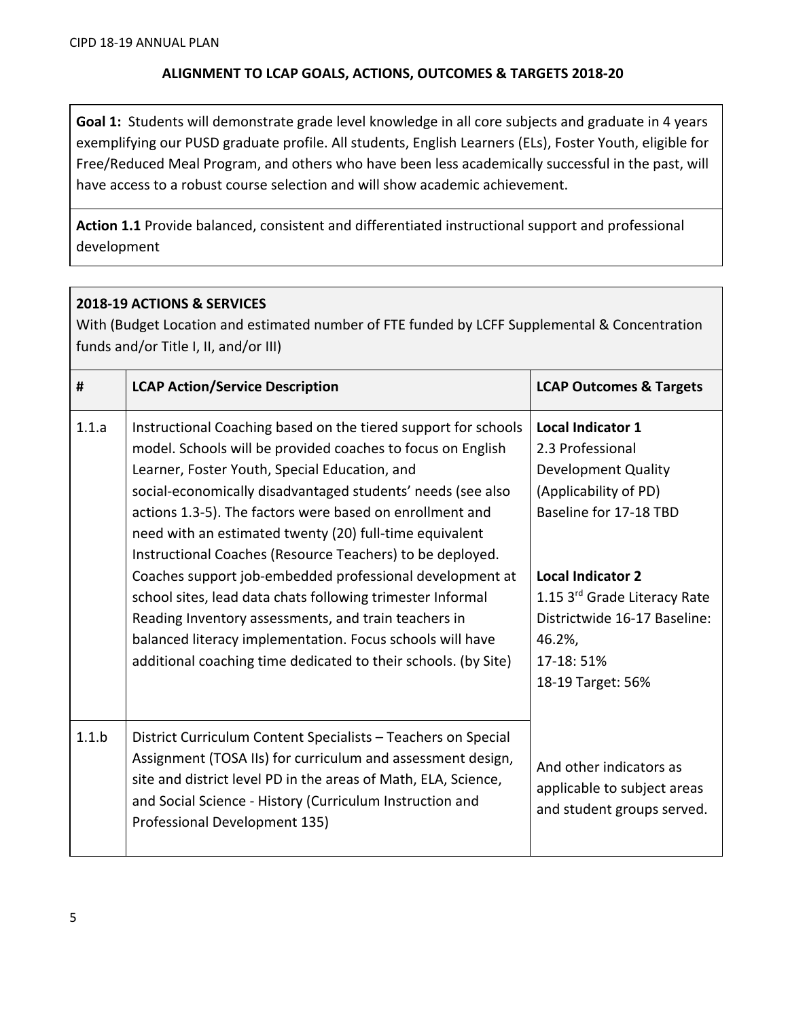## **ALIGNMENT TO LCAP GOALS, ACTIONS, OUTCOMES & TARGETS 2018-20**

**Goal 1:** Students will demonstrate grade level knowledge in all core subjects and graduate in 4 years exemplifying our PUSD graduate profile. All students, English Learners (ELs), Foster Youth, eligible for Free/Reduced Meal Program, and others who have been less academically successful in the past, will have access to a robust course selection and will show academic achievement.

**Action 1.1** Provide balanced, consistent and differentiated instructional support and professional development

## **2018-19 ACTIONS & SERVICES**

With (Budget Location and estimated number of FTE funded by LCFF Supplemental & Concentration funds and/or Title I, II, and/or III)

| #     | <b>LCAP Action/Service Description</b>                                                                                                                                                                                                                                                                                                                                                                                                                                                                                                                                                                                                                                                                                                             | <b>LCAP Outcomes &amp; Targets</b>                                                                                                                                                                                                                                     |
|-------|----------------------------------------------------------------------------------------------------------------------------------------------------------------------------------------------------------------------------------------------------------------------------------------------------------------------------------------------------------------------------------------------------------------------------------------------------------------------------------------------------------------------------------------------------------------------------------------------------------------------------------------------------------------------------------------------------------------------------------------------------|------------------------------------------------------------------------------------------------------------------------------------------------------------------------------------------------------------------------------------------------------------------------|
| 1.1.a | Instructional Coaching based on the tiered support for schools<br>model. Schools will be provided coaches to focus on English<br>Learner, Foster Youth, Special Education, and<br>social-economically disadvantaged students' needs (see also<br>actions 1.3-5). The factors were based on enrollment and<br>need with an estimated twenty (20) full-time equivalent<br>Instructional Coaches (Resource Teachers) to be deployed.<br>Coaches support job-embedded professional development at<br>school sites, lead data chats following trimester Informal<br>Reading Inventory assessments, and train teachers in<br>balanced literacy implementation. Focus schools will have<br>additional coaching time dedicated to their schools. (by Site) | <b>Local Indicator 1</b><br>2.3 Professional<br><b>Development Quality</b><br>(Applicability of PD)<br>Baseline for 17-18 TBD<br><b>Local Indicator 2</b><br>1.15 3rd Grade Literacy Rate<br>Districtwide 16-17 Baseline:<br>46.2%,<br>17-18: 51%<br>18-19 Target: 56% |
| 1.1.b | District Curriculum Content Specialists - Teachers on Special<br>Assignment (TOSA IIs) for curriculum and assessment design,<br>site and district level PD in the areas of Math, ELA, Science,<br>and Social Science - History (Curriculum Instruction and<br>Professional Development 135)                                                                                                                                                                                                                                                                                                                                                                                                                                                        | And other indicators as<br>applicable to subject areas<br>and student groups served.                                                                                                                                                                                   |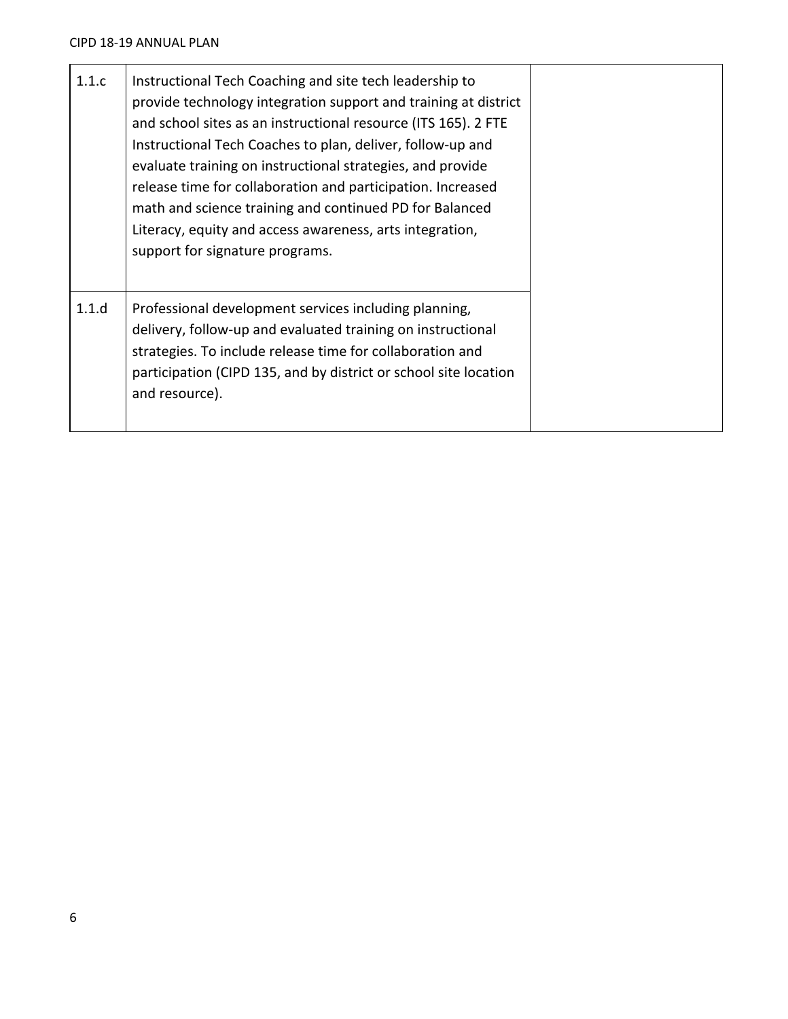| 1.1.c | Instructional Tech Coaching and site tech leadership to<br>provide technology integration support and training at district<br>and school sites as an instructional resource (ITS 165). 2 FTE<br>Instructional Tech Coaches to plan, deliver, follow-up and<br>evaluate training on instructional strategies, and provide<br>release time for collaboration and participation. Increased<br>math and science training and continued PD for Balanced<br>Literacy, equity and access awareness, arts integration,<br>support for signature programs. |
|-------|---------------------------------------------------------------------------------------------------------------------------------------------------------------------------------------------------------------------------------------------------------------------------------------------------------------------------------------------------------------------------------------------------------------------------------------------------------------------------------------------------------------------------------------------------|
| 1.1.d | Professional development services including planning,<br>delivery, follow-up and evaluated training on instructional<br>strategies. To include release time for collaboration and<br>participation (CIPD 135, and by district or school site location<br>and resource).                                                                                                                                                                                                                                                                           |